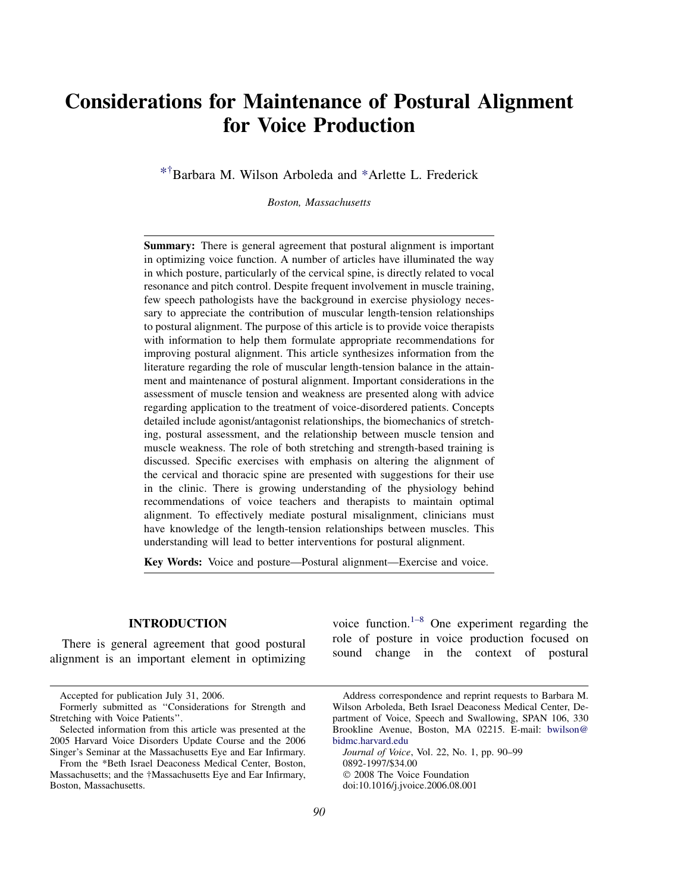# Considerations for Maintenance of Postural Alignment for Voice Production

\*† Barbara M. Wilson Arboleda and \*Arlette L. Frederick

Boston, Massachusetts

Summary: There is general agreement that postural alignment is important in optimizing voice function. A number of articles have illuminated the way in which posture, particularly of the cervical spine, is directly related to vocal resonance and pitch control. Despite frequent involvement in muscle training, few speech pathologists have the background in exercise physiology necessary to appreciate the contribution of muscular length-tension relationships to postural alignment. The purpose of this article is to provide voice therapists with information to help them formulate appropriate recommendations for improving postural alignment. This article synthesizes information from the literature regarding the role of muscular length-tension balance in the attainment and maintenance of postural alignment. Important considerations in the assessment of muscle tension and weakness are presented along with advice regarding application to the treatment of voice-disordered patients. Concepts detailed include agonist/antagonist relationships, the biomechanics of stretching, postural assessment, and the relationship between muscle tension and muscle weakness. The role of both stretching and strength-based training is discussed. Specific exercises with emphasis on altering the alignment of the cervical and thoracic spine are presented with suggestions for their use in the clinic. There is growing understanding of the physiology behind recommendations of voice teachers and therapists to maintain optimal alignment. To effectively mediate postural misalignment, clinicians must have knowledge of the length-tension relationships between muscles. This understanding will lead to better interventions for postural alignment.

Key Words: Voice and posture—Postural alignment—Exercise and voice.

## INTRODUCTION

There is general agreement that good postural alignment is an important element in optimizing

Selected information from this article was presented at the 2005 Harvard Voice Disorders Update Course and the 2006 Singer's Seminar at the Massachusetts Eye and Ear Infirmary.

From the \*Beth Israel Deaconess Medical Center, Boston, Massachusetts; and the †Massachusetts Eye and Ear Infirmary, Boston, Massachusetts.

voice function.<sup>1–8</sup> One experiment regarding the role of posture in voice production focused on sound change in the context of postural

Journal of Voice, Vol. 22, No. 1, pp. 90–99 0892-1997/\$34.00  $© 2008$  The Voice Foundation doi:10.1016/j.jvoice.2006.08.001

Accepted for publication July 31, 2006.

Formerly submitted as ''Considerations for Strength and Stretching with Voice Patients''.

Address correspondence and reprint requests to Barbara M. Wilson Arboleda, Beth Israel Deaconess Medical Center, Department of Voice, Speech and Swallowing, SPAN 106, 330 Brookline Avenue, Boston, MA 02215. E-mail: bwilson@ bidmc.harvard.edu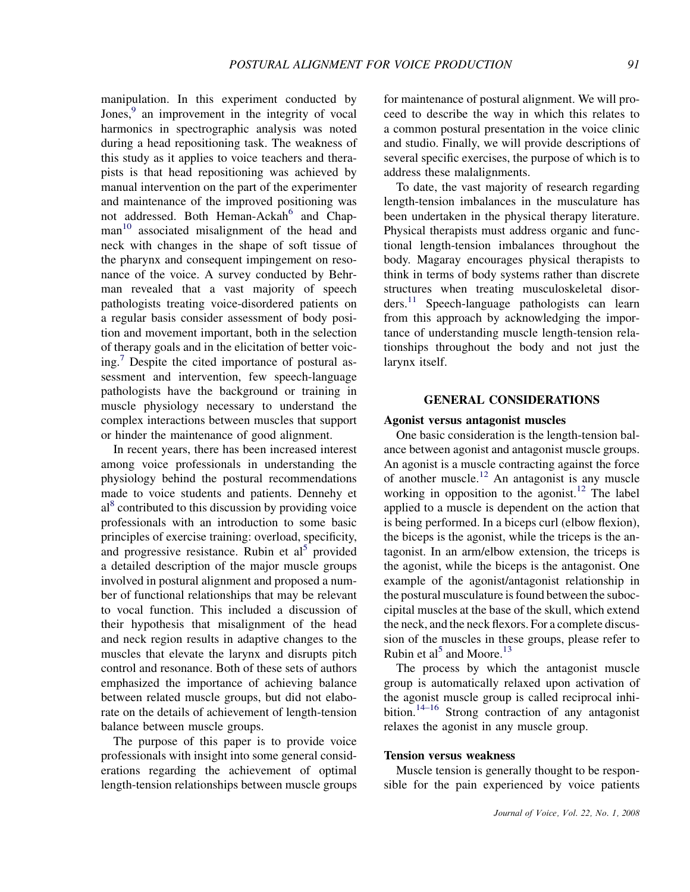manipulation. In this experiment conducted by Jones, $9$  an improvement in the integrity of vocal harmonics in spectrographic analysis was noted during a head repositioning task. The weakness of this study as it applies to voice teachers and therapists is that head repositioning was achieved by manual intervention on the part of the experimenter and maintenance of the improved positioning was not addressed. Both Heman-Ackah<sup>6</sup> and Chapman<sup>10</sup> associated misalignment of the head and neck with changes in the shape of soft tissue of the pharynx and consequent impingement on resonance of the voice. A survey conducted by Behrman revealed that a vast majority of speech pathologists treating voice-disordered patients on a regular basis consider assessment of body position and movement important, both in the selection of therapy goals and in the elicitation of better voicing.7 Despite the cited importance of postural assessment and intervention, few speech-language pathologists have the background or training in muscle physiology necessary to understand the complex interactions between muscles that support or hinder the maintenance of good alignment.

In recent years, there has been increased interest among voice professionals in understanding the physiology behind the postural recommendations made to voice students and patients. Dennehy et  $al<sup>8</sup>$  contributed to this discussion by providing voice professionals with an introduction to some basic principles of exercise training: overload, specificity, and progressive resistance. Rubin et  $al<sup>5</sup>$  provided a detailed description of the major muscle groups involved in postural alignment and proposed a number of functional relationships that may be relevant to vocal function. This included a discussion of their hypothesis that misalignment of the head and neck region results in adaptive changes to the muscles that elevate the larynx and disrupts pitch control and resonance. Both of these sets of authors emphasized the importance of achieving balance between related muscle groups, but did not elaborate on the details of achievement of length-tension balance between muscle groups.

The purpose of this paper is to provide voice professionals with insight into some general considerations regarding the achievement of optimal length-tension relationships between muscle groups for maintenance of postural alignment. We will proceed to describe the way in which this relates to a common postural presentation in the voice clinic and studio. Finally, we will provide descriptions of several specific exercises, the purpose of which is to address these malalignments.

To date, the vast majority of research regarding length-tension imbalances in the musculature has been undertaken in the physical therapy literature. Physical therapists must address organic and functional length-tension imbalances throughout the body. Magaray encourages physical therapists to think in terms of body systems rather than discrete structures when treating musculoskeletal disorders.11 Speech-language pathologists can learn from this approach by acknowledging the importance of understanding muscle length-tension relationships throughout the body and not just the larynx itself.

# GENERAL CONSIDERATIONS

# Agonist versus antagonist muscles

One basic consideration is the length-tension balance between agonist and antagonist muscle groups. An agonist is a muscle contracting against the force of another muscle.<sup>12</sup> An antagonist is any muscle working in opposition to the agonist.<sup>12</sup> The label applied to a muscle is dependent on the action that is being performed. In a biceps curl (elbow flexion), the biceps is the agonist, while the triceps is the antagonist. In an arm/elbow extension, the triceps is the agonist, while the biceps is the antagonist. One example of the agonist/antagonist relationship in the postural musculature is found between the suboccipital muscles at the base of the skull, which extend the neck, and the neck flexors. For a complete discussion of the muscles in these groups, please refer to Rubin et al<sup>5</sup> and Moore.<sup>13</sup>

The process by which the antagonist muscle group is automatically relaxed upon activation of the agonist muscle group is called reciprocal inhibition.<sup>14–16</sup> Strong contraction of any antagonist relaxes the agonist in any muscle group.

# Tension versus weakness

Muscle tension is generally thought to be responsible for the pain experienced by voice patients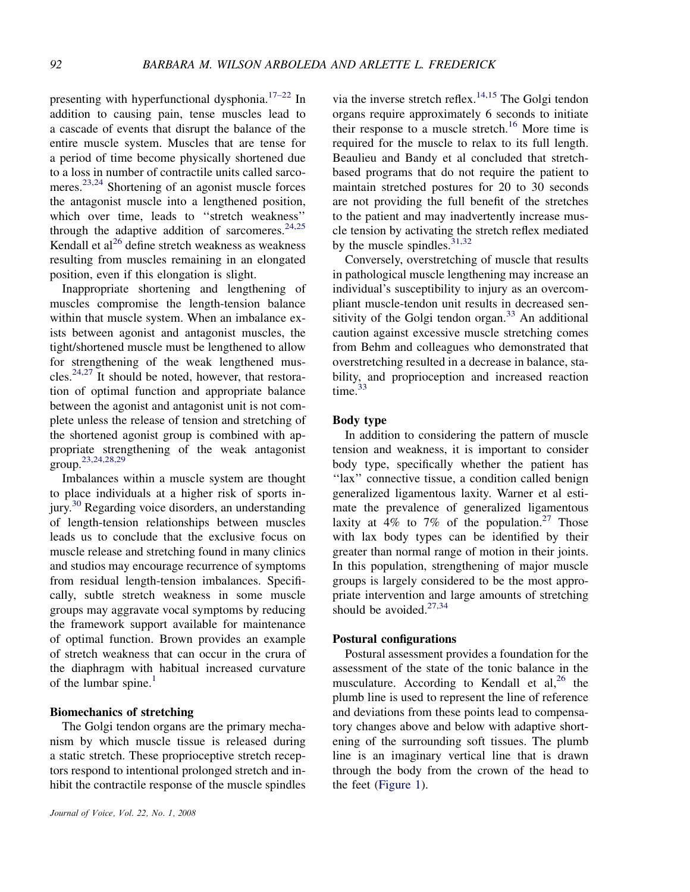presenting with hyperfunctional dysphonia.<sup>17–22</sup> In addition to causing pain, tense muscles lead to a cascade of events that disrupt the balance of the entire muscle system. Muscles that are tense for a period of time become physically shortened due to a loss in number of contractile units called sarcomeres.<sup>23,24</sup> Shortening of an agonist muscle forces the antagonist muscle into a lengthened position, which over time, leads to ''stretch weakness'' through the adaptive addition of sarcomeres. $24,25$ Kendall et  $al^{26}$  define stretch weakness as weakness resulting from muscles remaining in an elongated position, even if this elongation is slight.

Inappropriate shortening and lengthening of muscles compromise the length-tension balance within that muscle system. When an imbalance exists between agonist and antagonist muscles, the tight/shortened muscle must be lengthened to allow for strengthening of the weak lengthened muscles. $24,27$  It should be noted, however, that restoration of optimal function and appropriate balance between the agonist and antagonist unit is not complete unless the release of tension and stretching of the shortened agonist group is combined with appropriate strengthening of the weak antagonist  $g$ roup. $^{23,24,28,29}$ 

Imbalances within a muscle system are thought to place individuals at a higher risk of sports injury.30 Regarding voice disorders, an understanding of length-tension relationships between muscles leads us to conclude that the exclusive focus on muscle release and stretching found in many clinics and studios may encourage recurrence of symptoms from residual length-tension imbalances. Specifically, subtle stretch weakness in some muscle groups may aggravate vocal symptoms by reducing the framework support available for maintenance of optimal function. Brown provides an example of stretch weakness that can occur in the crura of the diaphragm with habitual increased curvature of the lumbar spine. $<sup>1</sup>$ </sup>

## Biomechanics of stretching

The Golgi tendon organs are the primary mechanism by which muscle tissue is released during a static stretch. These proprioceptive stretch receptors respond to intentional prolonged stretch and inhibit the contractile response of the muscle spindles

via the inverse stretch reflex.<sup>14,15</sup> The Golgi tendon organs require approximately 6 seconds to initiate their response to a muscle stretch.<sup>16</sup> More time is required for the muscle to relax to its full length. Beaulieu and Bandy et al concluded that stretchbased programs that do not require the patient to maintain stretched postures for 20 to 30 seconds are not providing the full benefit of the stretches to the patient and may inadvertently increase muscle tension by activating the stretch reflex mediated by the muscle spindles.  $31,32$ 

Conversely, overstretching of muscle that results in pathological muscle lengthening may increase an individual's susceptibility to injury as an overcompliant muscle-tendon unit results in decreased sensitivity of the Golgi tendon organ.<sup>33</sup> An additional caution against excessive muscle stretching comes from Behm and colleagues who demonstrated that overstretching resulted in a decrease in balance, stability, and proprioception and increased reaction time.<sup>33</sup>

# Body type

In addition to considering the pattern of muscle tension and weakness, it is important to consider body type, specifically whether the patient has "lax" connective tissue, a condition called benign generalized ligamentous laxity. Warner et al estimate the prevalence of generalized ligamentous laxity at  $4\%$  to 7% of the population.<sup>27</sup> Those with lax body types can be identified by their greater than normal range of motion in their joints. In this population, strengthening of major muscle groups is largely considered to be the most appropriate intervention and large amounts of stretching should be avoided.<sup>27,34</sup>

## Postural configurations

Postural assessment provides a foundation for the assessment of the state of the tonic balance in the musculature. According to Kendall et al,  $^{26}$  the plumb line is used to represent the line of reference and deviations from these points lead to compensatory changes above and below with adaptive shortening of the surrounding soft tissues. The plumb line is an imaginary vertical line that is drawn through the body from the crown of the head to the feet (Figure 1).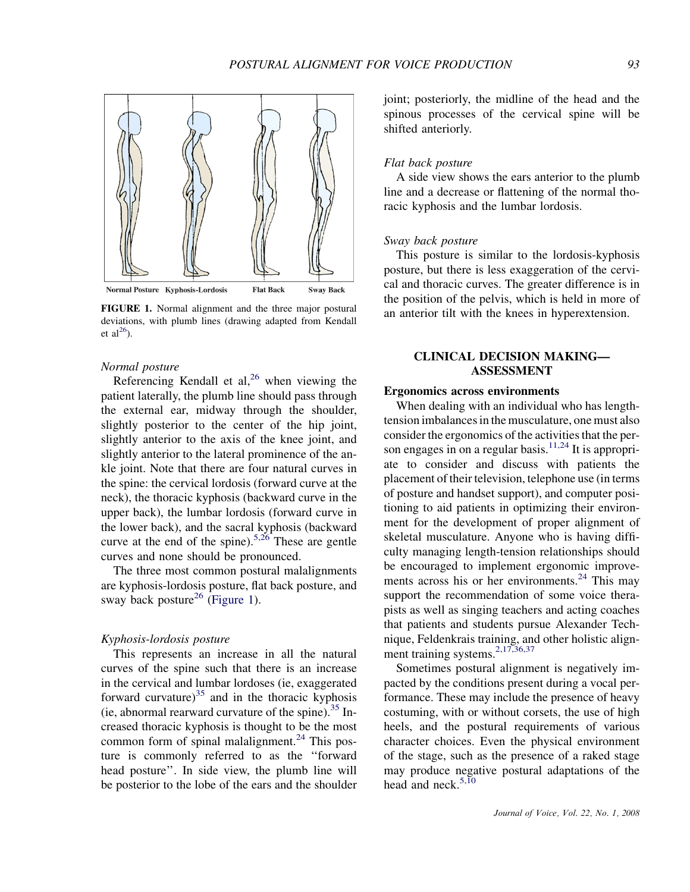

FIGURE 1. Normal alignment and the three major postural deviations, with plumb lines (drawing adapted from Kendall et al<sup>26</sup>).

## Normal posture

Referencing Kendall et al, $^{26}$  when viewing the patient laterally, the plumb line should pass through the external ear, midway through the shoulder, slightly posterior to the center of the hip joint, slightly anterior to the axis of the knee joint, and slightly anterior to the lateral prominence of the ankle joint. Note that there are four natural curves in the spine: the cervical lordosis (forward curve at the neck), the thoracic kyphosis (backward curve in the upper back), the lumbar lordosis (forward curve in the lower back), and the sacral kyphosis (backward curve at the end of the spine).<sup>5,26</sup> These are gentle curves and none should be pronounced.

The three most common postural malalignments are kyphosis-lordosis posture, flat back posture, and sway back posture<sup>26</sup> (Figure 1).

#### Kyphosis-lordosis posture

This represents an increase in all the natural curves of the spine such that there is an increase in the cervical and lumbar lordoses (ie, exaggerated forward curvature)<sup>35</sup> and in the thoracic kyphosis (ie, abnormal rearward curvature of the spine). $^{35}$  Increased thoracic kyphosis is thought to be the most common form of spinal malalignment.<sup>24</sup> This posture is commonly referred to as the ''forward head posture''. In side view, the plumb line will be posterior to the lobe of the ears and the shoulder joint; posteriorly, the midline of the head and the spinous processes of the cervical spine will be shifted anteriorly.

## Flat back posture

A side view shows the ears anterior to the plumb line and a decrease or flattening of the normal thoracic kyphosis and the lumbar lordosis.

#### Sway back posture

This posture is similar to the lordosis-kyphosis posture, but there is less exaggeration of the cervical and thoracic curves. The greater difference is in the position of the pelvis, which is held in more of an anterior tilt with the knees in hyperextension.

# CLINICAL DECISION MAKING— ASSESSMENT

## Ergonomics across environments

When dealing with an individual who has lengthtension imbalances in the musculature, one must also consider the ergonomics of the activities that the person engages in on a regular basis.<sup>11,24</sup> It is appropriate to consider and discuss with patients the placement of their television, telephone use (in terms of posture and handset support), and computer positioning to aid patients in optimizing their environment for the development of proper alignment of skeletal musculature. Anyone who is having difficulty managing length-tension relationships should be encouraged to implement ergonomic improvements across his or her environments. $^{24}$  This may support the recommendation of some voice therapists as well as singing teachers and acting coaches that patients and students pursue Alexander Technique, Feldenkrais training, and other holistic alignment training systems.<sup>2,17,36,37</sup>

Sometimes postural alignment is negatively impacted by the conditions present during a vocal performance. These may include the presence of heavy costuming, with or without corsets, the use of high heels, and the postural requirements of various character choices. Even the physical environment of the stage, such as the presence of a raked stage may produce negative postural adaptations of the head and neck. $5,\overline{10}$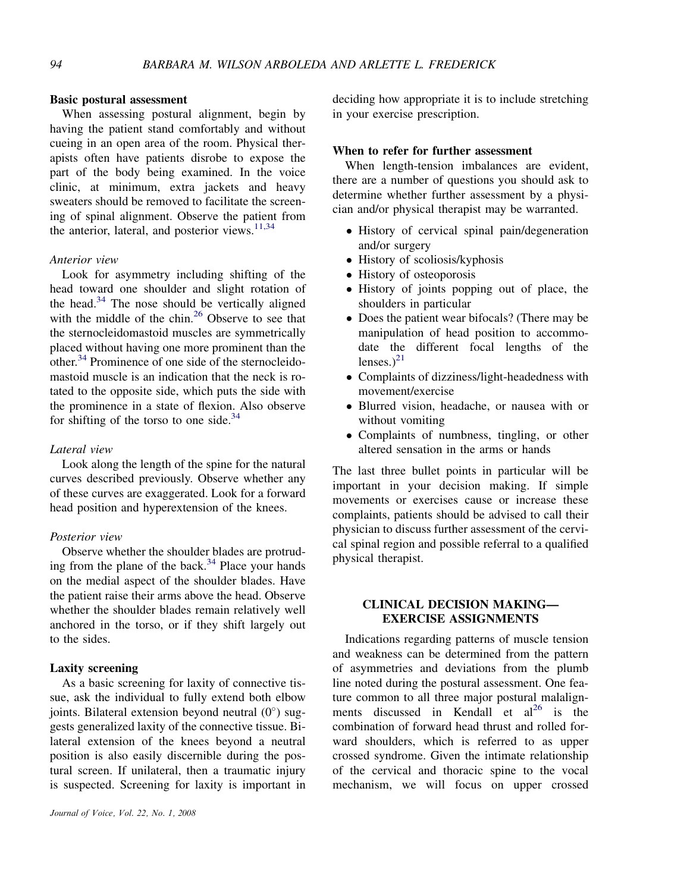# Basic postural assessment

When assessing postural alignment, begin by having the patient stand comfortably and without cueing in an open area of the room. Physical therapists often have patients disrobe to expose the part of the body being examined. In the voice clinic, at minimum, extra jackets and heavy sweaters should be removed to facilitate the screening of spinal alignment. Observe the patient from the anterior, lateral, and posterior views. $11,34$ 

# Anterior view

Look for asymmetry including shifting of the head toward one shoulder and slight rotation of the head. $34$  The nose should be vertically aligned with the middle of the chin.<sup>26</sup> Observe to see that the sternocleidomastoid muscles are symmetrically placed without having one more prominent than the other.34 Prominence of one side of the sternocleidomastoid muscle is an indication that the neck is rotated to the opposite side, which puts the side with the prominence in a state of flexion. Also observe for shifting of the torso to one side. $34$ 

# Lateral view

Look along the length of the spine for the natural curves described previously. Observe whether any of these curves are exaggerated. Look for a forward head position and hyperextension of the knees.

## Posterior view

Observe whether the shoulder blades are protruding from the plane of the back. $34$  Place your hands on the medial aspect of the shoulder blades. Have the patient raise their arms above the head. Observe whether the shoulder blades remain relatively well anchored in the torso, or if they shift largely out to the sides.

# Laxity screening

As a basic screening for laxity of connective tissue, ask the individual to fully extend both elbow joints. Bilateral extension beyond neutral  $(0^{\circ})$  suggests generalized laxity of the connective tissue. Bilateral extension of the knees beyond a neutral position is also easily discernible during the postural screen. If unilateral, then a traumatic injury is suspected. Screening for laxity is important in deciding how appropriate it is to include stretching in your exercise prescription.

# When to refer for further assessment

When length-tension imbalances are evident, there are a number of questions you should ask to determine whether further assessment by a physician and/or physical therapist may be warranted.

- History of cervical spinal pain/degeneration and/or surgery
- History of scoliosis/kyphosis
- History of osteoporosis
- $\bullet$  History of joints popping out of place, the shoulders in particular
- Does the patient wear bifocals? (There may be manipulation of head position to accommodate the different focal lengths of the lenses.) $^{21}$
- Complaints of dizziness/light-headedness with movement/exercise
- " Blurred vision, headache, or nausea with or without vomiting
- Complaints of numbness, tingling, or other altered sensation in the arms or hands

The last three bullet points in particular will be important in your decision making. If simple movements or exercises cause or increase these complaints, patients should be advised to call their physician to discuss further assessment of the cervical spinal region and possible referral to a qualified physical therapist.

# CLINICAL DECISION MAKING— EXERCISE ASSIGNMENTS

Indications regarding patterns of muscle tension and weakness can be determined from the pattern of asymmetries and deviations from the plumb line noted during the postural assessment. One feature common to all three major postural malalignments discussed in Kendall et  $al^{26}$  is the combination of forward head thrust and rolled forward shoulders, which is referred to as upper crossed syndrome. Given the intimate relationship of the cervical and thoracic spine to the vocal mechanism, we will focus on upper crossed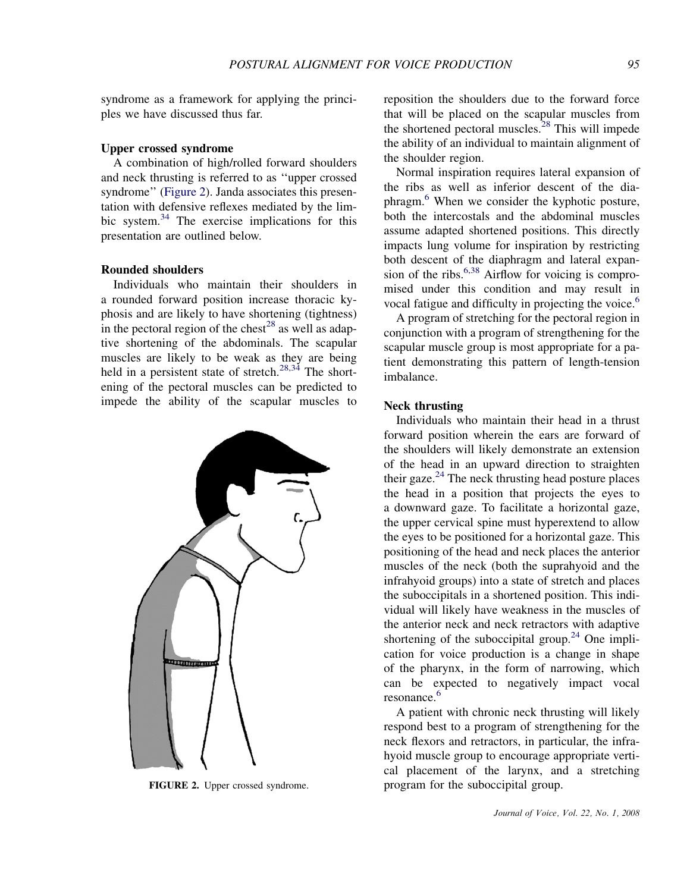syndrome as a framework for applying the principles we have discussed thus far.

# Upper crossed syndrome

A combination of high/rolled forward shoulders and neck thrusting is referred to as ''upper crossed syndrome'' (Figure 2). Janda associates this presentation with defensive reflexes mediated by the limbic system.<sup>34</sup> The exercise implications for this presentation are outlined below.

# Rounded shoulders

Individuals who maintain their shoulders in a rounded forward position increase thoracic kyphosis and are likely to have shortening (tightness) in the pectoral region of the chest<sup>28</sup> as well as adaptive shortening of the abdominals. The scapular muscles are likely to be weak as they are being held in a persistent state of stretch.<sup>28,34</sup> The shortening of the pectoral muscles can be predicted to impede the ability of the scapular muscles to



reposition the shoulders due to the forward force that will be placed on the scapular muscles from the shortened pectoral muscles.<sup>28</sup> This will impede the ability of an individual to maintain alignment of the shoulder region.

Normal inspiration requires lateral expansion of the ribs as well as inferior descent of the diaphragm.6 When we consider the kyphotic posture, both the intercostals and the abdominal muscles assume adapted shortened positions. This directly impacts lung volume for inspiration by restricting both descent of the diaphragm and lateral expansion of the ribs.<sup>6,38</sup> Airflow for voicing is compromised under this condition and may result in vocal fatigue and difficulty in projecting the voice.<sup>6</sup>

A program of stretching for the pectoral region in conjunction with a program of strengthening for the scapular muscle group is most appropriate for a patient demonstrating this pattern of length-tension imbalance.

#### Neck thrusting

Individuals who maintain their head in a thrust forward position wherein the ears are forward of the shoulders will likely demonstrate an extension of the head in an upward direction to straighten their gaze. $^{24}$  The neck thrusting head posture places the head in a position that projects the eyes to a downward gaze. To facilitate a horizontal gaze, the upper cervical spine must hyperextend to allow the eyes to be positioned for a horizontal gaze. This positioning of the head and neck places the anterior muscles of the neck (both the suprahyoid and the infrahyoid groups) into a state of stretch and places the suboccipitals in a shortened position. This individual will likely have weakness in the muscles of the anterior neck and neck retractors with adaptive shortening of the suboccipital group.<sup>24</sup> One implication for voice production is a change in shape of the pharynx, in the form of narrowing, which can be expected to negatively impact vocal resonance.<sup>6</sup>

A patient with chronic neck thrusting will likely respond best to a program of strengthening for the neck flexors and retractors, in particular, the infrahyoid muscle group to encourage appropriate vertical placement of the larynx, and a stretching FIGURE 2. Upper crossed syndrome. program for the suboccipital group.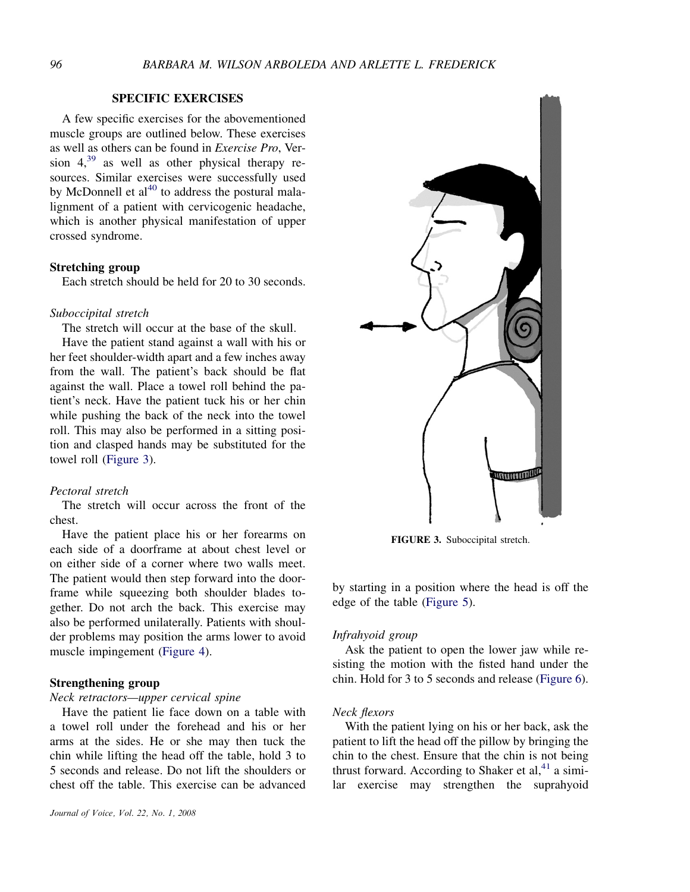# SPECIFIC EXERCISES

A few specific exercises for the abovementioned muscle groups are outlined below. These exercises as well as others can be found in Exercise Pro, Version  $4<sup>39</sup>$  as well as other physical therapy resources. Similar exercises were successfully used by McDonnell et  $al^{40}$  to address the postural malalignment of a patient with cervicogenic headache, which is another physical manifestation of upper crossed syndrome.

# Stretching group

Each stretch should be held for 20 to 30 seconds.

# Suboccipital stretch

The stretch will occur at the base of the skull.

Have the patient stand against a wall with his or her feet shoulder-width apart and a few inches away from the wall. The patient's back should be flat against the wall. Place a towel roll behind the patient's neck. Have the patient tuck his or her chin while pushing the back of the neck into the towel roll. This may also be performed in a sitting position and clasped hands may be substituted for the towel roll (Figure 3).

# Pectoral stretch

The stretch will occur across the front of the chest.

Have the patient place his or her forearms on each side of a doorframe at about chest level or on either side of a corner where two walls meet. The patient would then step forward into the doorframe while squeezing both shoulder blades together. Do not arch the back. This exercise may also be performed unilaterally. Patients with shoulder problems may position the arms lower to avoid muscle impingement (Figure 4).

## Strengthening group

## Neck retractors—upper cervical spine

Have the patient lie face down on a table with a towel roll under the forehead and his or her arms at the sides. He or she may then tuck the chin while lifting the head off the table, hold 3 to 5 seconds and release. Do not lift the shoulders or chest off the table. This exercise can be advanced



FIGURE 3. Suboccipital stretch.

by starting in a position where the head is off the edge of the table (Figure 5).

## Infrahyoid group

Ask the patient to open the lower jaw while resisting the motion with the fisted hand under the chin. Hold for 3 to 5 seconds and release (Figure 6).

# Neck flexors

With the patient lying on his or her back, ask the patient to lift the head off the pillow by bringing the chin to the chest. Ensure that the chin is not being thrust forward. According to Shaker et al,  $41$  a similar exercise may strengthen the suprahyoid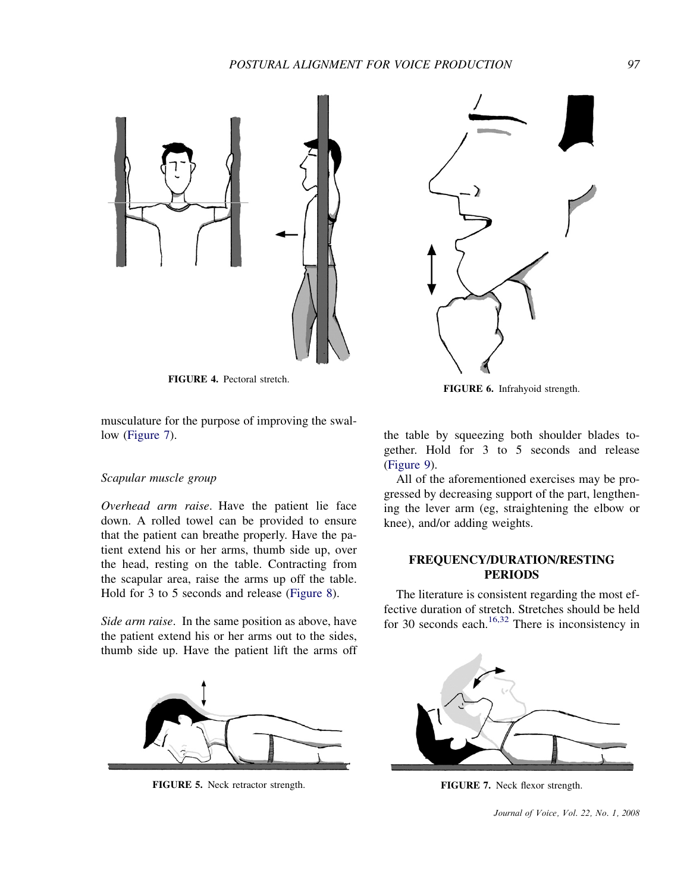

FIGURE 4. Pectoral stretch.

musculature for the purpose of improving the swallow (Figure 7).

# Scapular muscle group

Overhead arm raise. Have the patient lie face down. A rolled towel can be provided to ensure that the patient can breathe properly. Have the patient extend his or her arms, thumb side up, over the head, resting on the table. Contracting from the scapular area, raise the arms up off the table. Hold for 3 to 5 seconds and release (Figure 8).

Side arm raise. In the same position as above, have the patient extend his or her arms out to the sides, thumb side up. Have the patient lift the arms off



FIGURE 5. Neck retractor strength.



FIGURE 6. Infrahyoid strength.

the table by squeezing both shoulder blades together. Hold for 3 to 5 seconds and release (Figure 9).

All of the aforementioned exercises may be progressed by decreasing support of the part, lengthening the lever arm (eg, straightening the elbow or knee), and/or adding weights.

# FREQUENCY/DURATION/RESTING PERIODS

The literature is consistent regarding the most effective duration of stretch. Stretches should be held for 30 seconds each.<sup>16,32</sup> There is inconsistency in



FIGURE 7. Neck flexor strength.

Journal of Voice, Vol. 22, No. 1, 2008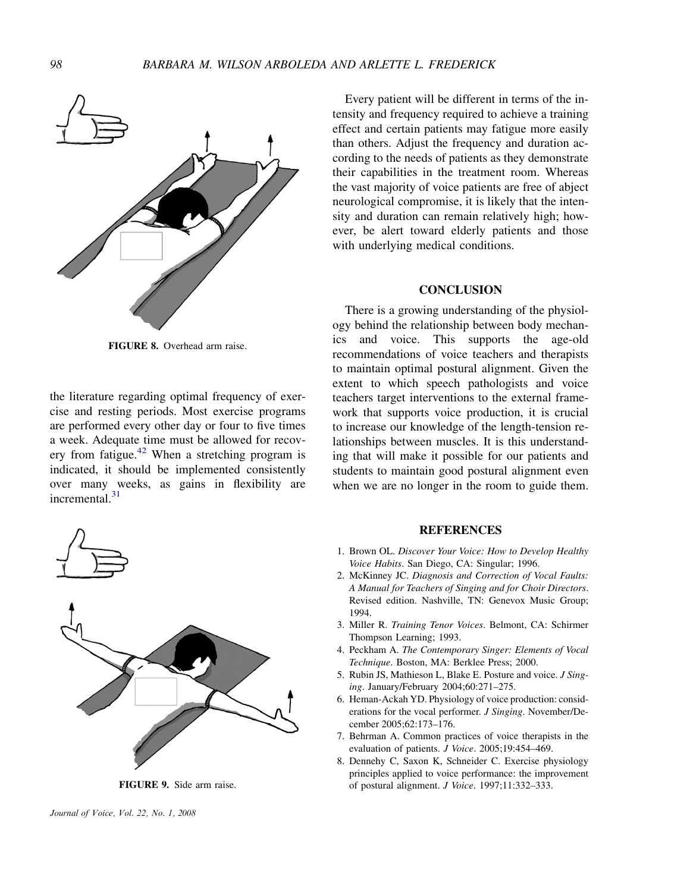

FIGURE 8. Overhead arm raise.

the literature regarding optimal frequency of exercise and resting periods. Most exercise programs are performed every other day or four to five times a week. Adequate time must be allowed for recovery from fatigue.<sup>42</sup> When a stretching program is indicated, it should be implemented consistently over many weeks, as gains in flexibility are incremental.<sup>31</sup>



FIGURE 9. Side arm raise.

Journal of Voice, Vol. 22, No. 1, 2008

Every patient will be different in terms of the intensity and frequency required to achieve a training effect and certain patients may fatigue more easily than others. Adjust the frequency and duration according to the needs of patients as they demonstrate their capabilities in the treatment room. Whereas the vast majority of voice patients are free of abject neurological compromise, it is likely that the intensity and duration can remain relatively high; however, be alert toward elderly patients and those with underlying medical conditions.

## **CONCLUSION**

There is a growing understanding of the physiology behind the relationship between body mechanics and voice. This supports the age-old recommendations of voice teachers and therapists to maintain optimal postural alignment. Given the extent to which speech pathologists and voice teachers target interventions to the external framework that supports voice production, it is crucial to increase our knowledge of the length-tension relationships between muscles. It is this understanding that will make it possible for our patients and students to maintain good postural alignment even when we are no longer in the room to guide them.

#### REFERENCES

- 1. Brown OL. Discover Your Voice: How to Develop Healthy Voice Habits. San Diego, CA: Singular; 1996.
- 2. McKinney JC. Diagnosis and Correction of Vocal Faults: A Manual for Teachers of Singing and for Choir Directors. Revised edition. Nashville, TN: Genevox Music Group; 1994.
- 3. Miller R. Training Tenor Voices. Belmont, CA: Schirmer Thompson Learning; 1993.
- 4. Peckham A. The Contemporary Singer: Elements of Vocal Technique. Boston, MA: Berklee Press; 2000.
- 5. Rubin JS, Mathieson L, Blake E. Posture and voice. J Singing. January/February 2004;60:271–275.
- 6. Heman-Ackah YD. Physiology of voice production: considerations for the vocal performer. J Singing. November/December 2005;62:173–176.
- 7. Behrman A. Common practices of voice therapists in the evaluation of patients. J Voice. 2005;19:454–469.
- 8. Dennehy C, Saxon K, Schneider C. Exercise physiology principles applied to voice performance: the improvement of postural alignment. J Voice. 1997;11:332–333.